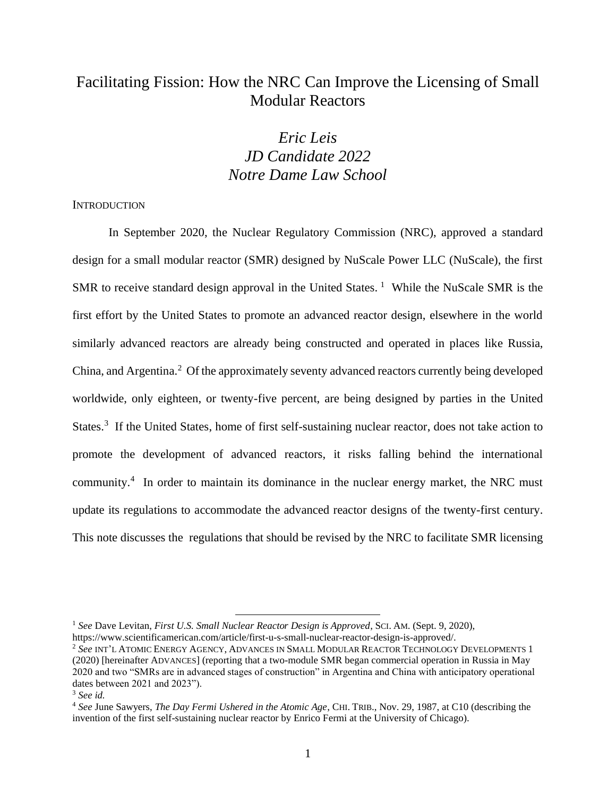# Facilitating Fission: How the NRC Can Improve the Licensing of Small Modular Reactors

# *Eric Leis JD Candidate 2022 Notre Dame Law School*

### **INTRODUCTION**

In September 2020, the Nuclear Regulatory Commission (NRC), approved a standard design for a small modular reactor (SMR) designed by NuScale Power LLC (NuScale), the first SMR to receive standard design approval in the United States.<sup>1</sup> While the NuScale SMR is the first effort by the United States to promote an advanced reactor design, elsewhere in the world similarly advanced reactors are already being constructed and operated in places like Russia, China, and Argentina.<sup>2</sup> Of the approximately seventy advanced reactors currently being developed worldwide, only eighteen, or twenty-five percent, are being designed by parties in the United States.<sup>3</sup> If the United States, home of first self-sustaining nuclear reactor, does not take action to promote the development of advanced reactors, it risks falling behind the international community.<sup>4</sup> In order to maintain its dominance in the nuclear energy market, the NRC must update its regulations to accommodate the advanced reactor designs of the twenty-first century. This note discusses the regulations that should be revised by the NRC to facilitate SMR licensing

<sup>1</sup> *See* Dave Levitan, *First U.S. Small Nuclear Reactor Design is Approved*, SCI. AM. (Sept. 9, 2020), https://www.scientificamerican.com/article/first-u-s-small-nuclear-reactor-design-is-approved/.

<sup>2</sup> *See* INT'L ATOMIC ENERGY AGENCY, ADVANCES IN SMALL MODULAR REACTOR TECHNOLOGY DEVELOPMENTS 1 (2020) [hereinafter ADVANCES] (reporting that a two-module SMR began commercial operation in Russia in May 2020 and two "SMRs are in advanced stages of construction" in Argentina and China with anticipatory operational dates between 2021 and 2023").

<sup>3</sup> *See id.* 

<sup>4</sup> *See* June Sawyers, *The Day Fermi Ushered in the Atomic Age*, CHI. TRIB., Nov. 29, 1987, at C10 (describing the invention of the first self-sustaining nuclear reactor by Enrico Fermi at the University of Chicago).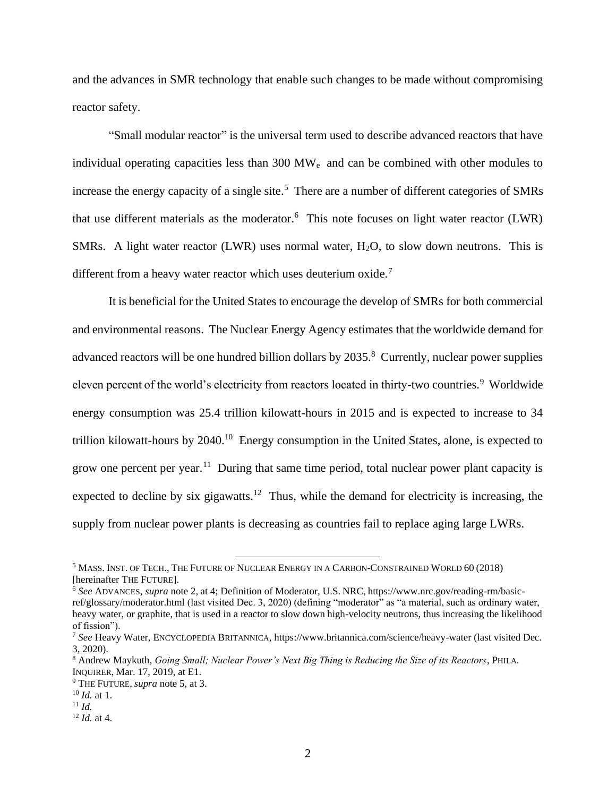and the advances in SMR technology that enable such changes to be made without compromising reactor safety.

"Small modular reactor" is the universal term used to describe advanced reactors that have individual operating capacities less than 300 MW<sup>e</sup> and can be combined with other modules to increase the energy capacity of a single site.<sup>5</sup> There are a number of different categories of SMRs that use different materials as the moderator.<sup>6</sup> This note focuses on light water reactor (LWR) SMRs. A light water reactor (LWR) uses normal water,  $H<sub>2</sub>O$ , to slow down neutrons. This is different from a heavy water reactor which uses deuterium oxide.<sup>7</sup>

It is beneficial for the United States to encourage the develop of SMRs for both commercial and environmental reasons. The Nuclear Energy Agency estimates that the worldwide demand for advanced reactors will be one hundred billion dollars by 2035.<sup>8</sup> Currently, nuclear power supplies eleven percent of the world's electricity from reactors located in thirty-two countries.<sup>9</sup> Worldwide energy consumption was 25.4 trillion kilowatt-hours in 2015 and is expected to increase to 34 trillion kilowatt-hours by 2040.<sup>10</sup> Energy consumption in the United States, alone, is expected to grow one percent per year.<sup>11</sup> During that same time period, total nuclear power plant capacity is expected to decline by six gigawatts.<sup>12</sup> Thus, while the demand for electricity is increasing, the supply from nuclear power plants is decreasing as countries fail to replace aging large LWRs.

<sup>5</sup> MASS. INST. OF TECH., THE FUTURE OF NUCLEAR ENERGY IN A CARBON-CONSTRAINED WORLD 60 (2018) [hereinafter THE FUTURE].

<sup>6</sup> *See* ADVANCES, *supra* note 2, at 4; Definition of Moderator, U.S. NRC, https://www.nrc.gov/reading-rm/basicref/glossary/moderator.html (last visited Dec. 3, 2020) (defining "moderator" as "a material, such as ordinary water, heavy water, or graphite, that is used in a reactor to slow down high-velocity neutrons, thus increasing the likelihood of fission").

<sup>7</sup> *See* Heavy Water, ENCYCLOPEDIA BRITANNICA, https://www.britannica.com/science/heavy-water (last visited Dec. 3, 2020).

<sup>8</sup> Andrew Maykuth, *Going Small; Nuclear Power's Next Big Thing is Reducing the Size of its Reactors*, PHILA. INQUIRER, Mar. 17, 2019, at E1.

<sup>9</sup> THE FUTURE, *supra* note 5, at 3.

<sup>10</sup> *Id.* at 1.

 $11$  *Id.* 

<sup>12</sup> *Id.* at 4.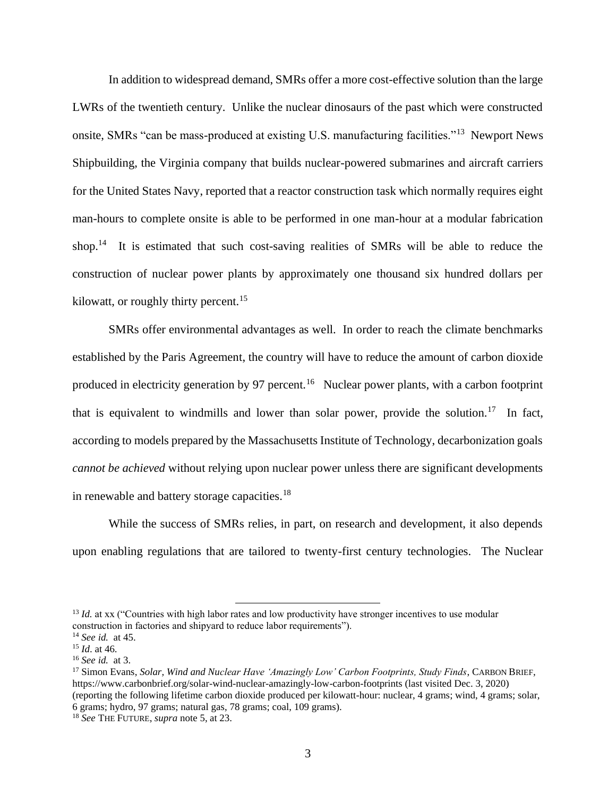In addition to widespread demand, SMRs offer a more cost-effective solution than the large LWRs of the twentieth century. Unlike the nuclear dinosaurs of the past which were constructed onsite, SMRs "can be mass-produced at existing U.S. manufacturing facilities."<sup>13</sup> Newport News Shipbuilding, the Virginia company that builds nuclear-powered submarines and aircraft carriers for the United States Navy, reported that a reactor construction task which normally requires eight man-hours to complete onsite is able to be performed in one man-hour at a modular fabrication shop.<sup>14</sup> It is estimated that such cost-saving realities of SMRs will be able to reduce the construction of nuclear power plants by approximately one thousand six hundred dollars per kilowatt, or roughly thirty percent.<sup>15</sup>

SMRs offer environmental advantages as well. In order to reach the climate benchmarks established by the Paris Agreement, the country will have to reduce the amount of carbon dioxide produced in electricity generation by 97 percent.<sup>16</sup> Nuclear power plants, with a carbon footprint that is equivalent to windmills and lower than solar power, provide the solution.<sup>17</sup> In fact, according to models prepared by the Massachusetts Institute of Technology, decarbonization goals *cannot be achieved* without relying upon nuclear power unless there are significant developments in renewable and battery storage capacities.<sup>18</sup>

While the success of SMRs relies, in part, on research and development, it also depends upon enabling regulations that are tailored to twenty-first century technologies. The Nuclear

<sup>&</sup>lt;sup>13</sup> *Id.* at xx ("Countries with high labor rates and low productivity have stronger incentives to use modular construction in factories and shipyard to reduce labor requirements").

<sup>14</sup> *See id.* at 45.

<sup>15</sup> *Id*. at 46.

<sup>16</sup> *See id.* at 3.

<sup>17</sup> Simon Evans, *Solar, Wind and Nuclear Have 'Amazingly Low' Carbon Footprints, Study Finds*, CARBON BRIEF, https://www.carbonbrief.org/solar-wind-nuclear-amazingly-low-carbon-footprints (last visited Dec. 3, 2020) (reporting the following lifetime carbon dioxide produced per kilowatt-hour: nuclear, 4 grams; wind, 4 grams; solar, 6 grams; hydro, 97 grams; natural gas, 78 grams; coal, 109 grams).

<sup>18</sup> *See* THE FUTURE, *supra* note 5, at 23.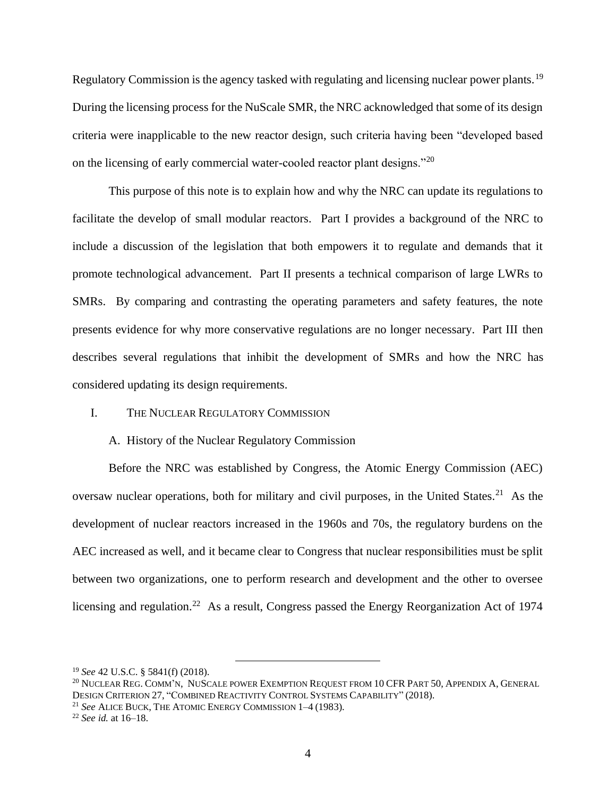Regulatory Commission is the agency tasked with regulating and licensing nuclear power plants.<sup>19</sup> During the licensing process for the NuScale SMR, the NRC acknowledged that some of its design criteria were inapplicable to the new reactor design, such criteria having been "developed based on the licensing of early commercial water-cooled reactor plant designs."<sup>20</sup>

This purpose of this note is to explain how and why the NRC can update its regulations to facilitate the develop of small modular reactors. Part I provides a background of the NRC to include a discussion of the legislation that both empowers it to regulate and demands that it promote technological advancement. Part II presents a technical comparison of large LWRs to SMRs. By comparing and contrasting the operating parameters and safety features, the note presents evidence for why more conservative regulations are no longer necessary. Part III then describes several regulations that inhibit the development of SMRs and how the NRC has considered updating its design requirements.

### I. THE NUCLEAR REGULATORY COMMISSION

#### A. History of the Nuclear Regulatory Commission

Before the NRC was established by Congress, the Atomic Energy Commission (AEC) oversaw nuclear operations, both for military and civil purposes, in the United States. $21$  As the development of nuclear reactors increased in the 1960s and 70s, the regulatory burdens on the AEC increased as well, and it became clear to Congress that nuclear responsibilities must be split between two organizations, one to perform research and development and the other to oversee licensing and regulation.<sup>22</sup> As a result, Congress passed the Energy Reorganization Act of 1974

<sup>19</sup> *See* 42 U.S.C. § 5841(f) (2018).

<sup>20</sup> NUCLEAR REG. COMM'N, NUSCALE POWER EXEMPTION REQUEST FROM 10 CFR PART 50, APPENDIX A, GENERAL DESIGN CRITERION 27, "COMBINED REACTIVITY CONTROL SYSTEMS CAPABILITY" (2018).

<sup>21</sup> *See* ALICE BUCK, THE ATOMIC ENERGY COMMISSION 1–4 (1983).

<sup>22</sup> *See id.* at 16–18.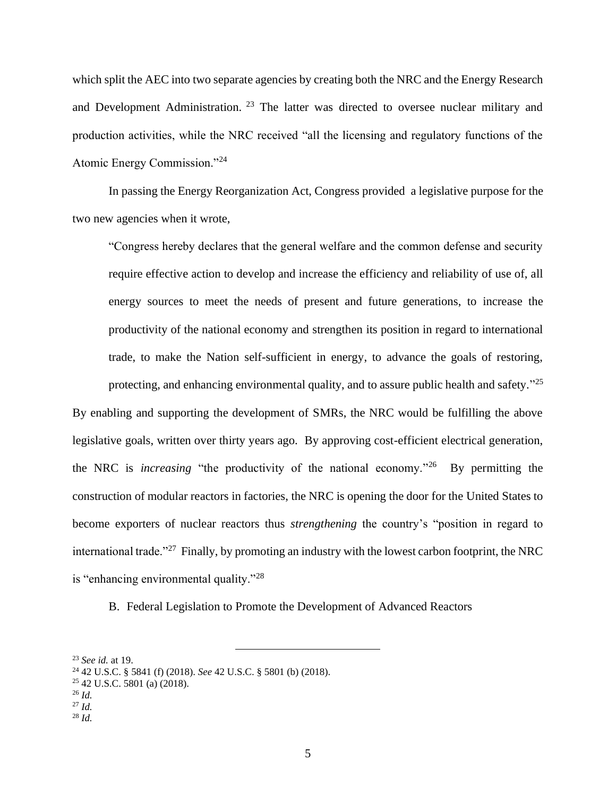which split the AEC into two separate agencies by creating both the NRC and the Energy Research and Development Administration.<sup>23</sup> The latter was directed to oversee nuclear military and production activities, while the NRC received "all the licensing and regulatory functions of the Atomic Energy Commission."<sup>24</sup>

In passing the Energy Reorganization Act, Congress provided a legislative purpose for the two new agencies when it wrote,

"Congress hereby declares that the general welfare and the common defense and security require effective action to develop and increase the efficiency and reliability of use of, all energy sources to meet the needs of present and future generations, to increase the productivity of the national economy and strengthen its position in regard to international trade, to make the Nation self-sufficient in energy, to advance the goals of restoring, protecting, and enhancing environmental quality, and to assure public health and safety."<sup>25</sup>

By enabling and supporting the development of SMRs, the NRC would be fulfilling the above legislative goals, written over thirty years ago. By approving cost-efficient electrical generation, the NRC is *increasing* "the productivity of the national economy."<sup>26</sup> By permitting the construction of modular reactors in factories, the NRC is opening the door for the United States to become exporters of nuclear reactors thus *strengthening* the country's "position in regard to international trade."<sup>27</sup> Finally, by promoting an industry with the lowest carbon footprint, the NRC is "enhancing environmental quality."<sup>28</sup>

B. Federal Legislation to Promote the Development of Advanced Reactors

<sup>23</sup> *See id.* at 19.

<sup>24</sup> 42 U.S.C. § 5841 (f) (2018). *See* 42 U.S.C. § 5801 (b) (2018).

 $25$  42 U.S.C. 5801 (a) (2018).

<sup>26</sup> *Id.*

<sup>27</sup> *Id.* 

 $^{28}$  *Id.*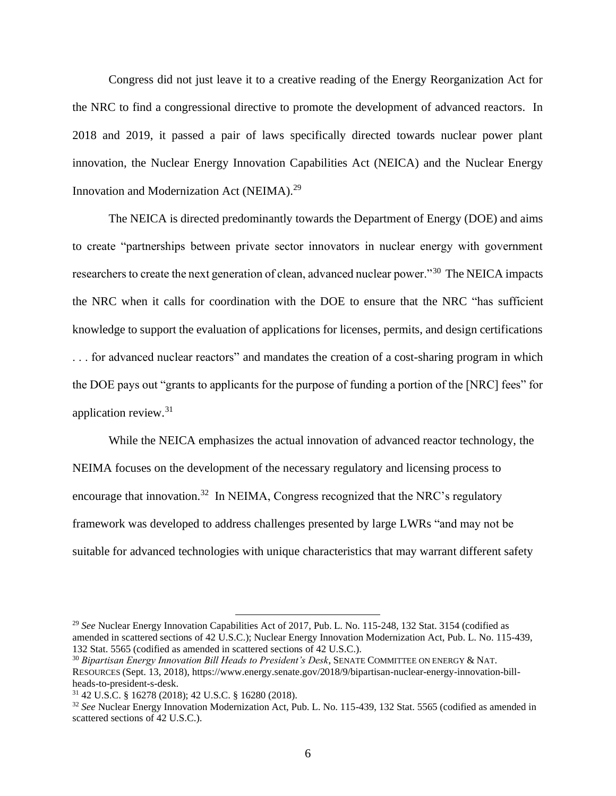Congress did not just leave it to a creative reading of the Energy Reorganization Act for the NRC to find a congressional directive to promote the development of advanced reactors. In 2018 and 2019, it passed a pair of laws specifically directed towards nuclear power plant innovation, the Nuclear Energy Innovation Capabilities Act (NEICA) and the Nuclear Energy Innovation and Modernization Act (NEIMA).<sup>29</sup>

The NEICA is directed predominantly towards the Department of Energy (DOE) and aims to create "partnerships between private sector innovators in nuclear energy with government researchers to create the next generation of clean, advanced nuclear power."<sup>30</sup> The NEICA impacts the NRC when it calls for coordination with the DOE to ensure that the NRC "has sufficient knowledge to support the evaluation of applications for licenses, permits, and design certifications . . . for advanced nuclear reactors" and mandates the creation of a cost-sharing program in which the DOE pays out "grants to applicants for the purpose of funding a portion of the [NRC] fees" for application review.<sup>31</sup>

While the NEICA emphasizes the actual innovation of advanced reactor technology, the NEIMA focuses on the development of the necessary regulatory and licensing process to encourage that innovation.<sup>32</sup> In NEIMA, Congress recognized that the NRC's regulatory framework was developed to address challenges presented by large LWRs "and may not be suitable for advanced technologies with unique characteristics that may warrant different safety

<sup>29</sup> *See* Nuclear Energy Innovation Capabilities Act of 2017, Pub. L. No. 115-248, 132 Stat. 3154 (codified as amended in scattered sections of 42 U.S.C.); Nuclear Energy Innovation Modernization Act, Pub. L. No. 115-439, 132 Stat. 5565 (codified as amended in scattered sections of 42 U.S.C.).

<sup>30</sup> *Bipartisan Energy Innovation Bill Heads to President's Desk*, SENATE COMMITTEE ON ENERGY & NAT. RESOURCES (Sept. 13, 2018), https://www.energy.senate.gov/2018/9/bipartisan-nuclear-energy-innovation-billheads-to-president-s-desk.

<sup>31</sup> 42 U.S.C. § 16278 (2018); 42 U.S.C. § 16280 (2018).

<sup>32</sup> *See* Nuclear Energy Innovation Modernization Act, Pub. L. No. 115-439, 132 Stat. 5565 (codified as amended in scattered sections of 42 U.S.C.).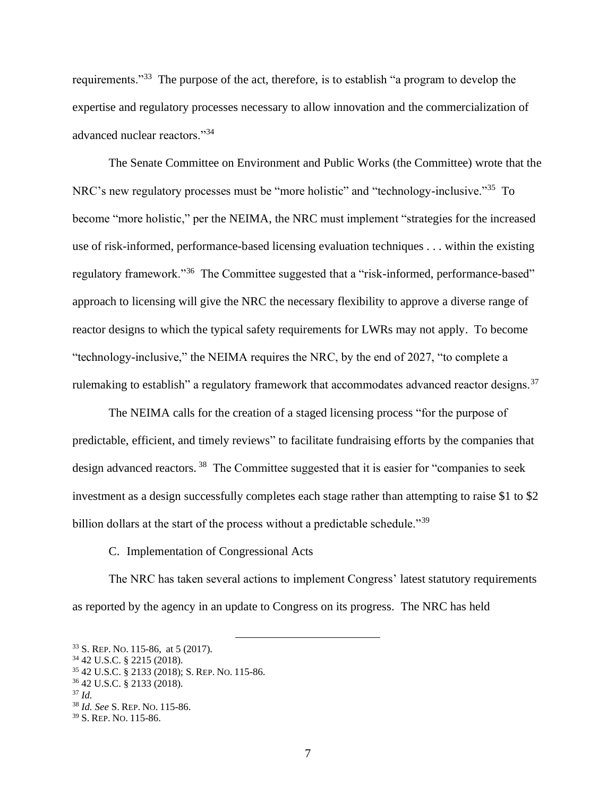requirements."<sup>33</sup> The purpose of the act, therefore, is to establish "a program to develop the expertise and regulatory processes necessary to allow innovation and the commercialization of advanced nuclear reactors."<sup>34</sup>

The Senate Committee on Environment and Public Works (the Committee) wrote that the NRC's new regulatory processes must be "more holistic" and "technology-inclusive."<sup>35</sup> To become "more holistic," per the NEIMA, the NRC must implement "strategies for the increased use of risk-informed, performance-based licensing evaluation techniques . . . within the existing regulatory framework."<sup>36</sup> The Committee suggested that a "risk-informed, performance-based" approach to licensing will give the NRC the necessary flexibility to approve a diverse range of reactor designs to which the typical safety requirements for LWRs may not apply. To become "technology-inclusive," the NEIMA requires the NRC, by the end of 2027, "to complete a rulemaking to establish" a regulatory framework that accommodates advanced reactor designs.<sup>37</sup>

The NEIMA calls for the creation of a staged licensing process "for the purpose of predictable, efficient, and timely reviews" to facilitate fundraising efforts by the companies that design advanced reactors.<sup>38</sup> The Committee suggested that it is easier for "companies to seek investment as a design successfully completes each stage rather than attempting to raise \$1 to \$2 billion dollars at the start of the process without a predictable schedule."<sup>39</sup>

C. Implementation of Congressional Acts

The NRC has taken several actions to implement Congress' latest statutory requirements as reported by the agency in an update to Congress on its progress. The NRC has held

<sup>33</sup> S. REP. NO. 115-86, at 5 (2017).

<sup>34</sup> 42 U.S.C. § 2215 (2018).

<sup>35</sup> 42 U.S.C. § 2133 (2018); S. REP. NO. 115-86.

<sup>36</sup> 42 U.S.C. § 2133 (2018).

 $37$  *Id.* 

<sup>38</sup> *Id. See* S. REP. NO. 115-86.

<sup>39</sup> S. REP. NO. 115-86.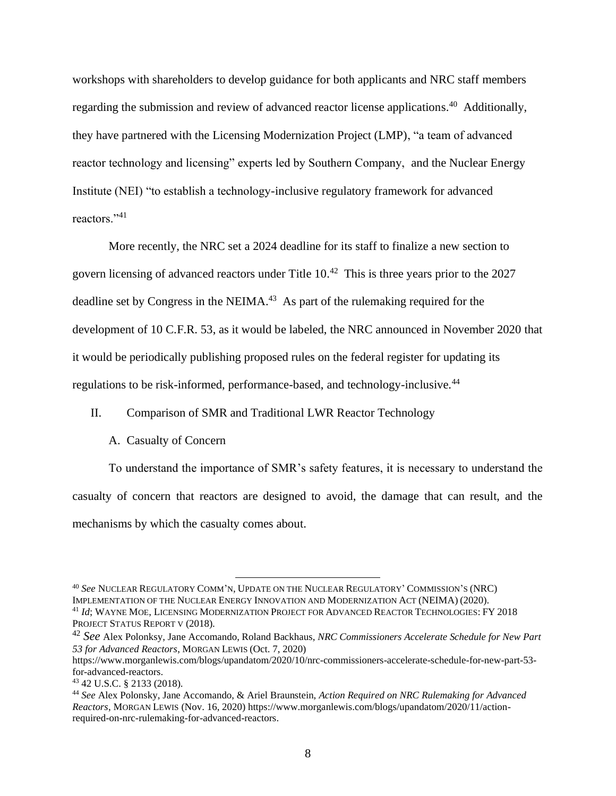workshops with shareholders to develop guidance for both applicants and NRC staff members regarding the submission and review of advanced reactor license applications.<sup>40</sup> Additionally, they have partnered with the Licensing Modernization Project (LMP), "a team of advanced reactor technology and licensing" experts led by Southern Company, and the Nuclear Energy Institute (NEI) "to establish a technology-inclusive regulatory framework for advanced reactors."<sup>41</sup>

More recently, the NRC set a 2024 deadline for its staff to finalize a new section to govern licensing of advanced reactors under Title  $10<sup>.42</sup>$  This is three years prior to the 2027 deadline set by Congress in the NEIMA.<sup>43</sup> As part of the rulemaking required for the development of 10 C.F.R. 53, as it would be labeled, the NRC announced in November 2020 that it would be periodically publishing proposed rules on the federal register for updating its regulations to be risk-informed, performance-based, and technology-inclusive.<sup>44</sup>

#### II. Comparison of SMR and Traditional LWR Reactor Technology

#### A. Casualty of Concern

To understand the importance of SMR's safety features, it is necessary to understand the casualty of concern that reactors are designed to avoid, the damage that can result, and the mechanisms by which the casualty comes about.

<sup>40</sup> *See* NUCLEAR REGULATORY COMM'N, UPDATE ON THE NUCLEAR REGULATORY' COMMISSION'S (NRC) IMPLEMENTATION OF THE NUCLEAR ENERGY INNOVATION AND MODERNIZATION ACT (NEIMA) (2020). <sup>41</sup> *Id*; WAYNE MOE, LICENSING MODERNIZATION PROJECT FOR ADVANCED REACTOR TECHNOLOGIES:FY 2018 PROJECT STATUS REPORT V (2018).

<sup>42</sup> *See* Alex Polonksy, Jane Accomando, Roland Backhaus, *NRC Commissioners Accelerate Schedule for New Part 53 for Advanced Reactors*, MORGAN LEWIS (Oct. 7, 2020)

https://www.morganlewis.com/blogs/upandatom/2020/10/nrc-commissioners-accelerate-schedule-for-new-part-53 for-advanced-reactors.

<sup>43</sup> 42 U.S.C. § 2133 (2018).

<sup>44</sup> *See* Alex Polonsky, Jane Accomando, & Ariel Braunstein, *Action Required on NRC Rulemaking for Advanced Reactors*, MORGAN LEWIS (Nov. 16, 2020) https://www.morganlewis.com/blogs/upandatom/2020/11/actionrequired-on-nrc-rulemaking-for-advanced-reactors.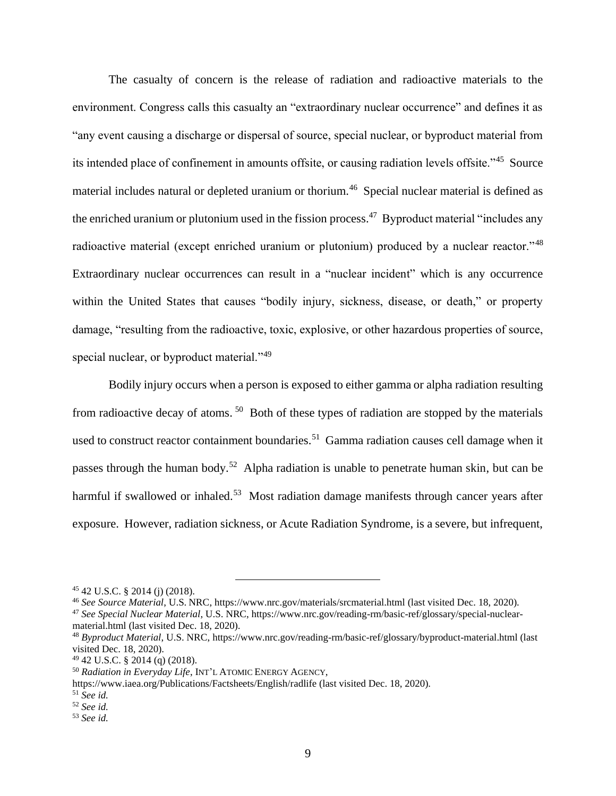The casualty of concern is the release of radiation and radioactive materials to the environment. Congress calls this casualty an "extraordinary nuclear occurrence" and defines it as "any event causing a discharge or dispersal of source, special nuclear, or byproduct material from its intended place of confinement in amounts offsite, or causing radiation levels offsite."<sup>45</sup> Source material includes natural or depleted uranium or thorium.<sup>46</sup> Special nuclear material is defined as the enriched uranium or plutonium used in the fission process.<sup>47</sup> Byproduct material "includes any radioactive material (except enriched uranium or plutonium) produced by a nuclear reactor."<sup>48</sup> Extraordinary nuclear occurrences can result in a "nuclear incident" which is any occurrence within the United States that causes "bodily injury, sickness, disease, or death," or property damage, "resulting from the radioactive, toxic, explosive, or other hazardous properties of source, special nuclear, or byproduct material."<sup>49</sup>

Bodily injury occurs when a person is exposed to either gamma or alpha radiation resulting from radioactive decay of atoms.<sup>50</sup> Both of these types of radiation are stopped by the materials used to construct reactor containment boundaries.<sup>51</sup> Gamma radiation causes cell damage when it passes through the human body.<sup>52</sup> Alpha radiation is unable to penetrate human skin, but can be harmful if swallowed or inhaled.<sup>53</sup> Most radiation damage manifests through cancer years after exposure. However, radiation sickness, or Acute Radiation Syndrome, is a severe, but infrequent,

<sup>47</sup> *See Special Nuclear Material*, U.S. NRC, https://www.nrc.gov/reading-rm/basic-ref/glossary/special-nuclearmaterial.html (last visited Dec. 18, 2020).

<sup>45</sup> 42 U.S.C. § 2014 (j) (2018).

<sup>46</sup> *See Source Material*, U.S. NRC, https://www.nrc.gov/materials/srcmaterial.html (last visited Dec. 18, 2020).

<sup>48</sup> *Byproduct Material*, U.S. NRC, https://www.nrc.gov/reading-rm/basic-ref/glossary/byproduct-material.html (last visited Dec. 18, 2020).

<sup>49</sup> 42 U.S.C. § 2014 (q) (2018).

<sup>50</sup> *Radiation in Everyday Life*, INT'L ATOMIC ENERGY AGENCY,

https://www.iaea.org/Publications/Factsheets/English/radlife (last visited Dec. 18, 2020).

<sup>51</sup> *See id.* 

<sup>52</sup> *See id.* 

<sup>53</sup> *See id.*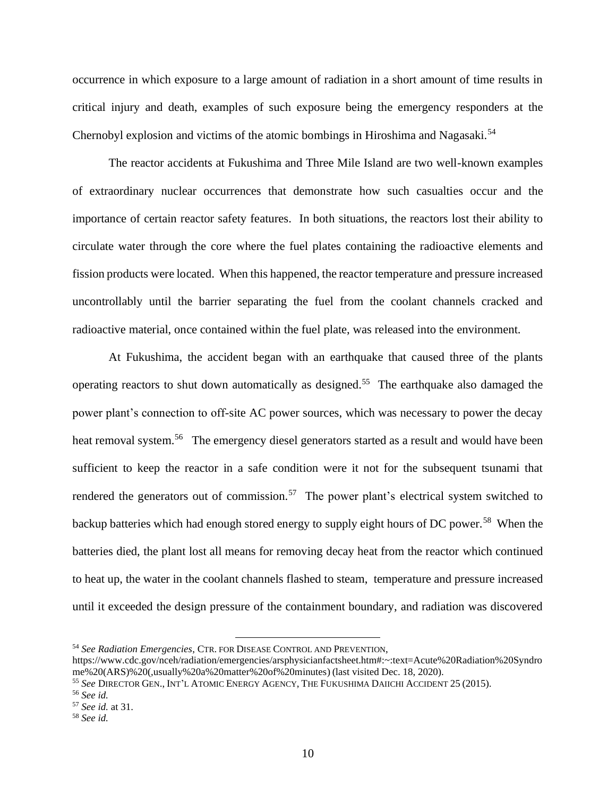occurrence in which exposure to a large amount of radiation in a short amount of time results in critical injury and death, examples of such exposure being the emergency responders at the Chernobyl explosion and victims of the atomic bombings in Hiroshima and Nagasaki.<sup>54</sup>

The reactor accidents at Fukushima and Three Mile Island are two well-known examples of extraordinary nuclear occurrences that demonstrate how such casualties occur and the importance of certain reactor safety features. In both situations, the reactors lost their ability to circulate water through the core where the fuel plates containing the radioactive elements and fission products were located. When this happened, the reactor temperature and pressure increased uncontrollably until the barrier separating the fuel from the coolant channels cracked and radioactive material, once contained within the fuel plate, was released into the environment.

At Fukushima, the accident began with an earthquake that caused three of the plants operating reactors to shut down automatically as designed.<sup>55</sup> The earthquake also damaged the power plant's connection to off-site AC power sources, which was necessary to power the decay heat removal system.<sup>56</sup> The emergency diesel generators started as a result and would have been sufficient to keep the reactor in a safe condition were it not for the subsequent tsunami that rendered the generators out of commission.<sup>57</sup> The power plant's electrical system switched to backup batteries which had enough stored energy to supply eight hours of DC power.<sup>58</sup> When the batteries died, the plant lost all means for removing decay heat from the reactor which continued to heat up, the water in the coolant channels flashed to steam, temperature and pressure increased until it exceeded the design pressure of the containment boundary, and radiation was discovered

<sup>54</sup> *See Radiation Emergencies*, CTR. FOR DISEASE CONTROL AND PREVENTION,

https://www.cdc.gov/nceh/radiation/emergencies/arsphysicianfactsheet.htm#:~:text=Acute%20Radiation%20Syndro me%20(ARS)%20(,usually%20a%20matter%20of%20minutes) (last visited Dec. 18, 2020).

<sup>55</sup> *See* DIRECTOR GEN., INT'L ATOMIC ENERGY AGENCY, THE FUKUSHIMA DAIICHI ACCIDENT 25 (2015).

<sup>56</sup> *See id.* 

<sup>57</sup> *See id.* at 31.

<sup>58</sup> *See id.*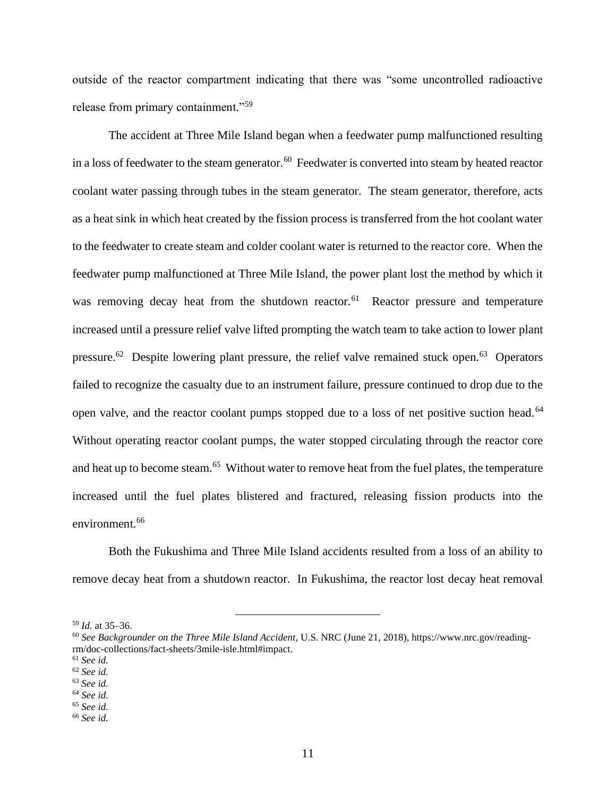outside of the reactor compartment indicating that there was "some uncontrolled radioactive release from primary containment."<sup>59</sup>

The accident at Three Mile Island began when a feedwater pump malfunctioned resulting in a loss of feedwater to the steam generator.<sup>60</sup> Feedwater is converted into steam by heated reactor coolant water passing through tubes in the steam generator. The steam generator, therefore, acts as a heat sink in which heat created by the fission process is transferred from the hot coolant water to the feedwater to create steam and colder coolant water is returned to the reactor core. When the feedwater pump malfunctioned at Three Mile Island, the power plant lost the method by which it was removing decay heat from the shutdown reactor.<sup>61</sup> Reactor pressure and temperature increased until a pressure relief valve lifted prompting the watch team to take action to lower plant pressure.<sup>62</sup> Despite lowering plant pressure, the relief valve remained stuck open.<sup>63</sup> Operators failed to recognize the casualty due to an instrument failure, pressure continued to drop due to the open valve, and the reactor coolant pumps stopped due to a loss of net positive suction head.<sup>64</sup> Without operating reactor coolant pumps, the water stopped circulating through the reactor core and heat up to become steam.<sup>65</sup> Without water to remove heat from the fuel plates, the temperature increased until the fuel plates blistered and fractured, releasing fission products into the environment.<sup>66</sup>

Both the Fukushima and Three Mile Island accidents resulted from a loss of an ability to remove decay heat from a shutdown reactor. In Fukushima, the reactor lost decay heat removal

<sup>59</sup> *Id.* at 35–36.

<sup>60</sup> *See Backgrounder on the Three Mile Island Accident*, U.S. NRC (June 21, 2018), https://www.nrc.gov/readingrm/doc-collections/fact-sheets/3mile-isle.html#impact.

<sup>61</sup> *See id.* 

<sup>62</sup> *See id.* 

<sup>63</sup> *See id.* 

<sup>64</sup> *See id.* 

<sup>65</sup> *See id.* 

<sup>66</sup> *See id.*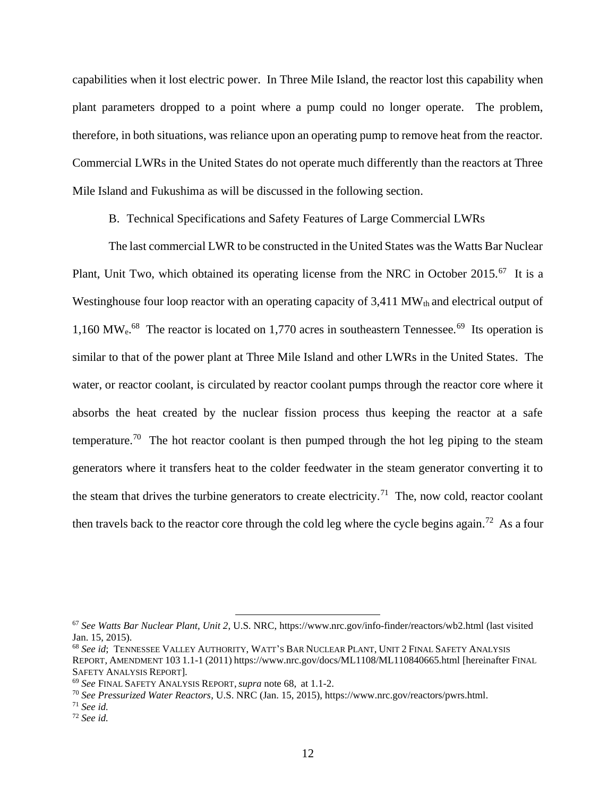capabilities when it lost electric power. In Three Mile Island, the reactor lost this capability when plant parameters dropped to a point where a pump could no longer operate. The problem, therefore, in both situations, was reliance upon an operating pump to remove heat from the reactor. Commercial LWRs in the United States do not operate much differently than the reactors at Three Mile Island and Fukushima as will be discussed in the following section.

B. Technical Specifications and Safety Features of Large Commercial LWRs

The last commercial LWR to be constructed in the United States was the Watts Bar Nuclear Plant, Unit Two, which obtained its operating license from the NRC in October 2015.<sup>67</sup> It is a Westinghouse four loop reactor with an operating capacity of  $3,411$  MW<sub>th</sub> and electrical output of 1,160 MW<sub>e</sub>.<sup>68</sup> The reactor is located on 1,770 acres in southeastern Tennessee.<sup>69</sup> Its operation is similar to that of the power plant at Three Mile Island and other LWRs in the United States. The water, or reactor coolant, is circulated by reactor coolant pumps through the reactor core where it absorbs the heat created by the nuclear fission process thus keeping the reactor at a safe temperature.<sup>70</sup> The hot reactor coolant is then pumped through the hot leg piping to the steam generators where it transfers heat to the colder feedwater in the steam generator converting it to the steam that drives the turbine generators to create electricity.<sup>71</sup> The, now cold, reactor coolant then travels back to the reactor core through the cold leg where the cycle begins again.<sup>72</sup> As a four

<sup>67</sup> *See Watts Bar Nuclear Plant, Unit 2*, U.S. NRC, https://www.nrc.gov/info-finder/reactors/wb2.html (last visited Jan. 15, 2015).

<sup>68</sup> *See id*; TENNESSEE VALLEY AUTHORITY, WATT'S BAR NUCLEAR PLANT, UNIT 2FINAL SAFETY ANALYSIS REPORT, AMENDMENT 103 1.1-1 (2011) https://www.nrc.gov/docs/ML1108/ML110840665.html [hereinafter FINAL SAFETY ANALYSIS REPORT].

<sup>69</sup> *See* FINAL SAFETY ANALYSIS REPORT,*supra* note 68, at 1.1-2.

<sup>70</sup> *See Pressurized Water Reactors*, U.S. NRC (Jan. 15, 2015), https://www.nrc.gov/reactors/pwrs.html.

<sup>71</sup> *See id.* 

<sup>72</sup> *See id.*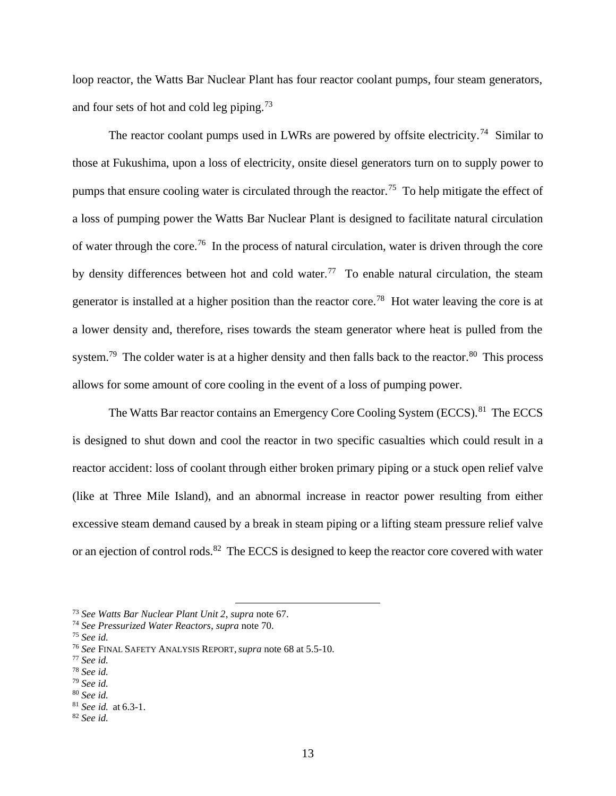loop reactor, the Watts Bar Nuclear Plant has four reactor coolant pumps, four steam generators, and four sets of hot and cold leg piping.<sup>73</sup>

The reactor coolant pumps used in LWRs are powered by offsite electricity.<sup>74</sup> Similar to those at Fukushima, upon a loss of electricity, onsite diesel generators turn on to supply power to pumps that ensure cooling water is circulated through the reactor.<sup>75</sup> To help mitigate the effect of a loss of pumping power the Watts Bar Nuclear Plant is designed to facilitate natural circulation of water through the core.<sup>76</sup> In the process of natural circulation, water is driven through the core by density differences between hot and cold water.<sup>77</sup> To enable natural circulation, the steam generator is installed at a higher position than the reactor core.<sup>78</sup> Hot water leaving the core is at a lower density and, therefore, rises towards the steam generator where heat is pulled from the system.<sup>79</sup> The colder water is at a higher density and then falls back to the reactor.<sup>80</sup> This process allows for some amount of core cooling in the event of a loss of pumping power.

The Watts Bar reactor contains an Emergency Core Cooling System (ECCS).<sup>81</sup> The ECCS is designed to shut down and cool the reactor in two specific casualties which could result in a reactor accident: loss of coolant through either broken primary piping or a stuck open relief valve (like at Three Mile Island), and an abnormal increase in reactor power resulting from either excessive steam demand caused by a break in steam piping or a lifting steam pressure relief valve or an ejection of control rods.<sup>82</sup> The ECCS is designed to keep the reactor core covered with water

<sup>73</sup> *See Watts Bar Nuclear Plant Unit 2*, *supra* note 67.

<sup>74</sup> *See Pressurized Water Reactors*, *supra* note 70.

<sup>75</sup> *See id.* 

<sup>76</sup> *See* FINAL SAFETY ANALYSIS REPORT,*supra* note 68 at 5.5-10.

<sup>77</sup> *See id.* 

<sup>78</sup> *See id.* 

<sup>79</sup> *See id.* 

<sup>80</sup> *See id.* 

<sup>81</sup> *See id.* at 6.3-1.

<sup>82</sup> *See id.*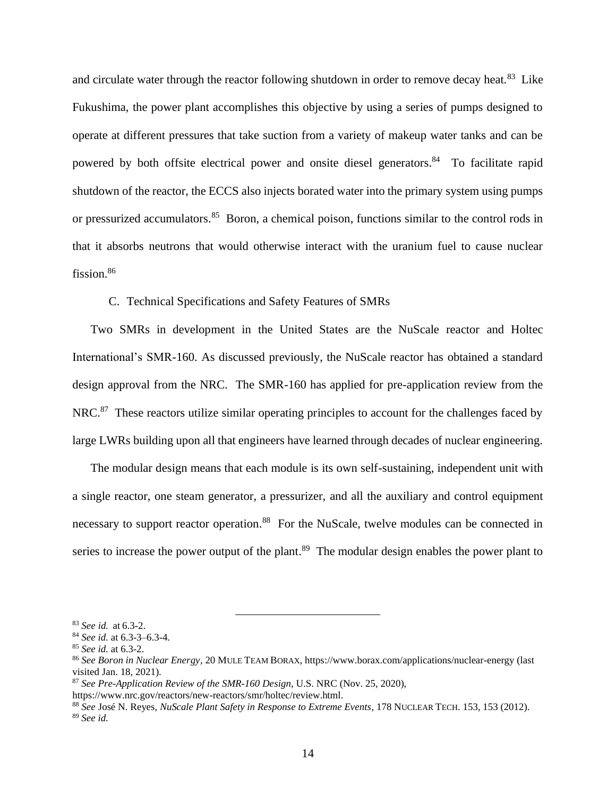and circulate water through the reactor following shutdown in order to remove decay heat.<sup>83</sup> Like Fukushima, the power plant accomplishes this objective by using a series of pumps designed to operate at different pressures that take suction from a variety of makeup water tanks and can be powered by both offsite electrical power and onsite diesel generators.<sup>84</sup> To facilitate rapid shutdown of the reactor, the ECCS also injects borated water into the primary system using pumps or pressurized accumulators.<sup>85</sup> Boron, a chemical poison, functions similar to the control rods in that it absorbs neutrons that would otherwise interact with the uranium fuel to cause nuclear fission.<sup>86</sup>

### C. Technical Specifications and Safety Features of SMRs

Two SMRs in development in the United States are the NuScale reactor and Holtec International's SMR-160. As discussed previously, the NuScale reactor has obtained a standard design approval from the NRC. The SMR-160 has applied for pre-application review from the NRC.<sup>87</sup> These reactors utilize similar operating principles to account for the challenges faced by large LWRs building upon all that engineers have learned through decades of nuclear engineering.

The modular design means that each module is its own self-sustaining, independent unit with a single reactor, one steam generator, a pressurizer, and all the auxiliary and control equipment necessary to support reactor operation.<sup>88</sup> For the NuScale, twelve modules can be connected in series to increase the power output of the plant.<sup>89</sup> The modular design enables the power plant to

<sup>83</sup> *See id.* at 6.3-2.

<sup>84</sup> *See id.* at 6.3-3–6.3-4.

<sup>85</sup> *See id.* at 6.3-2.

<sup>86</sup> *See Boron in Nuclear Energy*, 20 MULE TEAM BORAX, https://www.borax.com/applications/nuclear-energy (last visited Jan. 18, 2021).

<sup>87</sup> *See Pre-Application Review of the SMR-160 Design*, U.S. NRC (Nov. 25, 2020),

https://www.nrc.gov/reactors/new-reactors/smr/holtec/review.html.

<sup>88</sup> *See* José N. Reyes, *NuScale Plant Safety in Response to Extreme Events*, 178 NUCLEAR TECH. 153, 153 (2012). <sup>89</sup> *See id.*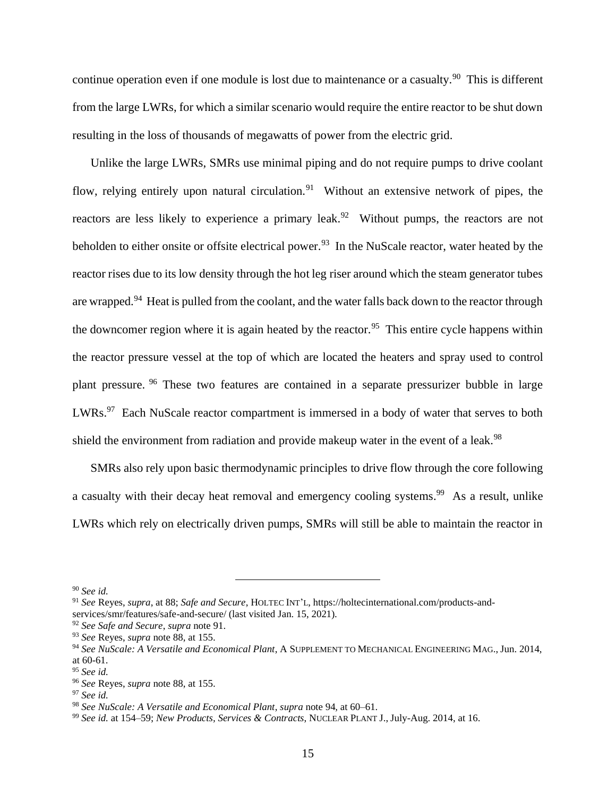continue operation even if one module is lost due to maintenance or a casualty.<sup>90</sup> This is different from the large LWRs, for which a similar scenario would require the entire reactor to be shut down resulting in the loss of thousands of megawatts of power from the electric grid.

Unlike the large LWRs, SMRs use minimal piping and do not require pumps to drive coolant flow, relying entirely upon natural circulation.<sup>91</sup> Without an extensive network of pipes, the reactors are less likely to experience a primary leak.<sup>92</sup> Without pumps, the reactors are not beholden to either onsite or offsite electrical power.<sup>93</sup> In the NuScale reactor, water heated by the reactor rises due to its low density through the hot leg riser around which the steam generator tubes are wrapped.<sup>94</sup> Heat is pulled from the coolant, and the water falls back down to the reactor through the downcomer region where it is again heated by the reactor.<sup>95</sup> This entire cycle happens within the reactor pressure vessel at the top of which are located the heaters and spray used to control plant pressure. <sup>96</sup> These two features are contained in a separate pressurizer bubble in large LWRs.<sup>97</sup> Each NuScale reactor compartment is immersed in a body of water that serves to both shield the environment from radiation and provide makeup water in the event of a leak.<sup>98</sup>

SMRs also rely upon basic thermodynamic principles to drive flow through the core following a casualty with their decay heat removal and emergency cooling systems.<sup>99</sup> As a result, unlike LWRs which rely on electrically driven pumps, SMRs will still be able to maintain the reactor in

<sup>90</sup> *See id.* 

<sup>91</sup> *See* Reyes, *supra*, at 88; *Safe and Secure*, HOLTEC INT'L, https://holtecinternational.com/products-andservices/smr/features/safe-and-secure/ (last visited Jan. 15, 2021).

<sup>92</sup> *See Safe and Secure*, *supra* note 91.

<sup>93</sup> *See* Reyes, *supra* note 88, at 155.

<sup>94</sup> *See NuScale: A Versatile and Economical Plant*, A SUPPLEMENT TO MECHANICAL ENGINEERING MAG., Jun. 2014, at 60-61.

<sup>95</sup> *See id.* 

<sup>96</sup> *See* Reyes, *supra* note 88, at 155.

<sup>97</sup> *See id.*

<sup>98</sup> *See NuScale: A Versatile and Economical Plant*, *supra* note 94, at 60–61.

<sup>99</sup> *See id.* at 154–59; *New Products, Services & Contracts*, NUCLEAR PLANT J., July-Aug. 2014, at 16.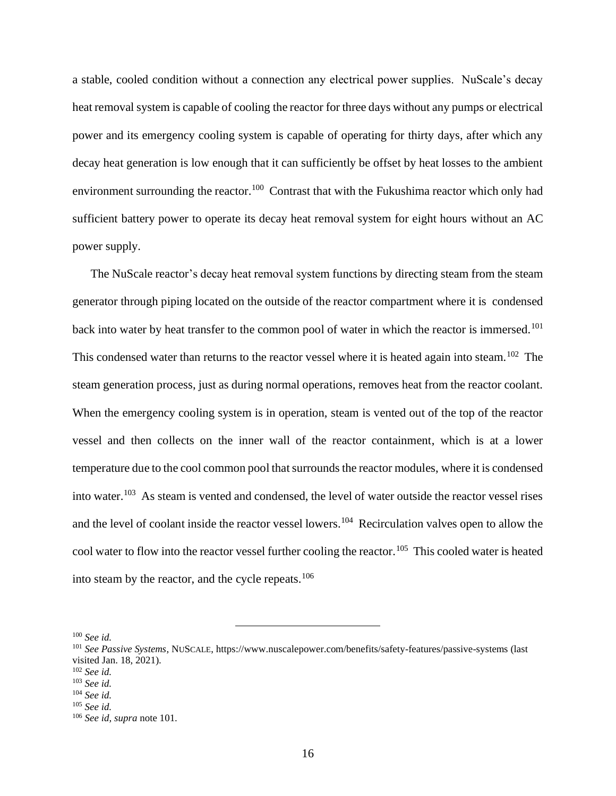a stable, cooled condition without a connection any electrical power supplies. NuScale's decay heat removal system is capable of cooling the reactor for three days without any pumps or electrical power and its emergency cooling system is capable of operating for thirty days, after which any decay heat generation is low enough that it can sufficiently be offset by heat losses to the ambient environment surrounding the reactor.<sup>100</sup> Contrast that with the Fukushima reactor which only had sufficient battery power to operate its decay heat removal system for eight hours without an AC power supply.

The NuScale reactor's decay heat removal system functions by directing steam from the steam generator through piping located on the outside of the reactor compartment where it is condensed back into water by heat transfer to the common pool of water in which the reactor is immersed.<sup>101</sup> This condensed water than returns to the reactor vessel where it is heated again into steam.<sup>102</sup> The steam generation process, just as during normal operations, removes heat from the reactor coolant. When the emergency cooling system is in operation, steam is vented out of the top of the reactor vessel and then collects on the inner wall of the reactor containment, which is at a lower temperature due to the cool common pool that surrounds the reactor modules, where it is condensed into water. 103 As steam is vented and condensed, the level of water outside the reactor vessel rises and the level of coolant inside the reactor vessel lowers.<sup>104</sup> Recirculation valves open to allow the cool water to flow into the reactor vessel further cooling the reactor.<sup>105</sup> This cooled water is heated into steam by the reactor, and the cycle repeats.<sup>106</sup>

<sup>100</sup> *See id.* 

<sup>101</sup> *See Passive Systems*, NUSCALE, https://www.nuscalepower.com/benefits/safety-features/passive-systems (last visited Jan. 18, 2021).

<sup>102</sup> *See id.* 

<sup>103</sup> *See id.* 

<sup>104</sup> *See id.* 

<sup>105</sup> *See id.* 

<sup>106</sup> *See id, supra* note 101.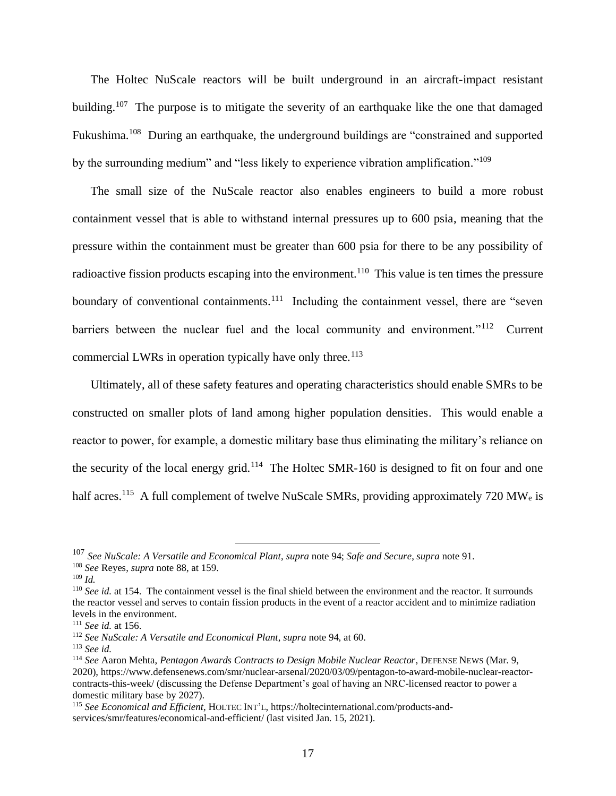The Holtec NuScale reactors will be built underground in an aircraft-impact resistant building.<sup>107</sup> The purpose is to mitigate the severity of an earthquake like the one that damaged Fukushima.<sup>108</sup> During an earthquake, the underground buildings are "constrained and supported by the surrounding medium" and "less likely to experience vibration amplification."<sup>109</sup>

The small size of the NuScale reactor also enables engineers to build a more robust containment vessel that is able to withstand internal pressures up to 600 psia, meaning that the pressure within the containment must be greater than 600 psia for there to be any possibility of radioactive fission products escaping into the environment.<sup>110</sup> This value is ten times the pressure boundary of conventional containments.<sup>111</sup> Including the containment vessel, there are "seven barriers between the nuclear fuel and the local community and environment."<sup>112</sup> Current commercial LWRs in operation typically have only three.<sup>113</sup>

Ultimately, all of these safety features and operating characteristics should enable SMRs to be constructed on smaller plots of land among higher population densities. This would enable a reactor to power, for example, a domestic military base thus eliminating the military's reliance on the security of the local energy grid.<sup>114</sup> The Holtec SMR-160 is designed to fit on four and one half acres.<sup>115</sup> A full complement of twelve NuScale SMRs, providing approximately 720 MW<sub>e</sub> is

<sup>111</sup> *See id.* at 156.

<sup>107</sup> *See NuScale: A Versatile and Economical Plant*, *supra* note 94; *Safe and Secure*, *supra* note 91.

<sup>108</sup> *See* Reyes, *supra* note 88, at 159.

 $109$  *Id.* 

<sup>&</sup>lt;sup>110</sup> See id. at 154. The containment vessel is the final shield between the environment and the reactor. It surrounds the reactor vessel and serves to contain fission products in the event of a reactor accident and to minimize radiation levels in the environment.

<sup>112</sup> *See NuScale: A Versatile and Economical Plant*, *supra* note 94, at 60.

<sup>113</sup> *See id.* 

<sup>114</sup> *See* Aaron Mehta, *Pentagon Awards Contracts to Design Mobile Nuclear Reactor*, DEFENSE NEWS (Mar. 9, 2020), https://www.defensenews.com/smr/nuclear-arsenal/2020/03/09/pentagon-to-award-mobile-nuclear-reactorcontracts-this-week/ (discussing the Defense Department's goal of having an NRC-licensed reactor to power a domestic military base by 2027).

<sup>115</sup> *See Economical and Efficient*, HOLTEC INT'L, https://holtecinternational.com/products-andservices/smr/features/economical-and-efficient/ (last visited Jan. 15, 2021).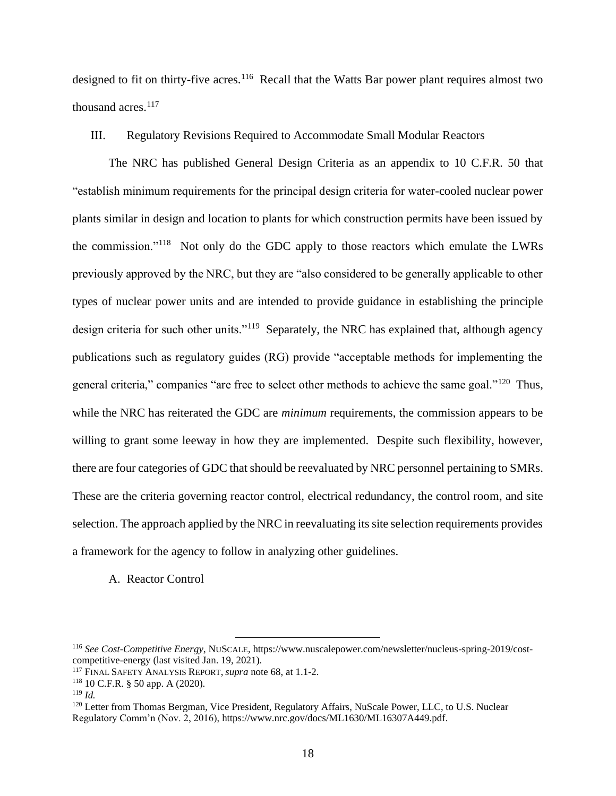designed to fit on thirty-five acres.<sup>116</sup> Recall that the Watts Bar power plant requires almost two thousand acres.<sup>117</sup>

III. Regulatory Revisions Required to Accommodate Small Modular Reactors

The NRC has published General Design Criteria as an appendix to 10 C.F.R. 50 that "establish minimum requirements for the principal design criteria for water-cooled nuclear power plants similar in design and location to plants for which construction permits have been issued by the commission."<sup>118</sup> Not only do the GDC apply to those reactors which emulate the LWRs previously approved by the NRC, but they are "also considered to be generally applicable to other types of nuclear power units and are intended to provide guidance in establishing the principle design criteria for such other units."<sup>119</sup> Separately, the NRC has explained that, although agency publications such as regulatory guides (RG) provide "acceptable methods for implementing the general criteria," companies "are free to select other methods to achieve the same goal."<sup>120</sup> Thus, while the NRC has reiterated the GDC are *minimum* requirements, the commission appears to be willing to grant some leeway in how they are implemented. Despite such flexibility, however, there are four categories of GDC that should be reevaluated by NRC personnel pertaining to SMRs. These are the criteria governing reactor control, electrical redundancy, the control room, and site selection. The approach applied by the NRC in reevaluating its site selection requirements provides a framework for the agency to follow in analyzing other guidelines.

A. Reactor Control

<sup>116</sup> *See Cost-Competitive Energy*, NUSCALE, https://www.nuscalepower.com/newsletter/nucleus-spring-2019/costcompetitive-energy (last visited Jan. 19, 2021).

<sup>117</sup> FINAL SAFETY ANALYSIS REPORT, *supra* note 68, at 1.1-2.

 $118$  10 C.F.R. § 50 app. A (2020).

 $119$  *Id.* 

<sup>&</sup>lt;sup>120</sup> Letter from Thomas Bergman, Vice President, Regulatory Affairs, NuScale Power, LLC, to U.S. Nuclear Regulatory Comm'n (Nov. 2, 2016), https://www.nrc.gov/docs/ML1630/ML16307A449.pdf.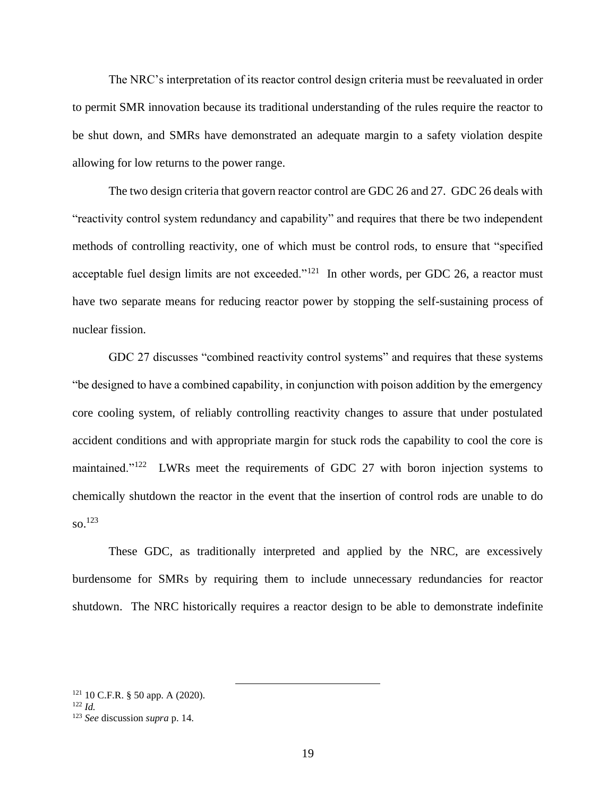The NRC's interpretation of its reactor control design criteria must be reevaluated in order to permit SMR innovation because its traditional understanding of the rules require the reactor to be shut down, and SMRs have demonstrated an adequate margin to a safety violation despite allowing for low returns to the power range.

The two design criteria that govern reactor control are GDC 26 and 27. GDC 26 deals with "reactivity control system redundancy and capability" and requires that there be two independent methods of controlling reactivity, one of which must be control rods, to ensure that "specified acceptable fuel design limits are not exceeded."<sup>121</sup> In other words, per GDC 26, a reactor must have two separate means for reducing reactor power by stopping the self-sustaining process of nuclear fission.

GDC 27 discusses "combined reactivity control systems" and requires that these systems "be designed to have a combined capability, in conjunction with poison addition by the emergency core cooling system, of reliably controlling reactivity changes to assure that under postulated accident conditions and with appropriate margin for stuck rods the capability to cool the core is maintained." $122$  LWRs meet the requirements of GDC 27 with boron injection systems to chemically shutdown the reactor in the event that the insertion of control rods are unable to do so.<sup>123</sup>

These GDC, as traditionally interpreted and applied by the NRC, are excessively burdensome for SMRs by requiring them to include unnecessary redundancies for reactor shutdown. The NRC historically requires a reactor design to be able to demonstrate indefinite

 $121$  10 C.F.R. § 50 app. A (2020).

 $122 \, Id$ 

<sup>123</sup> *See* discussion *supra* p. 14.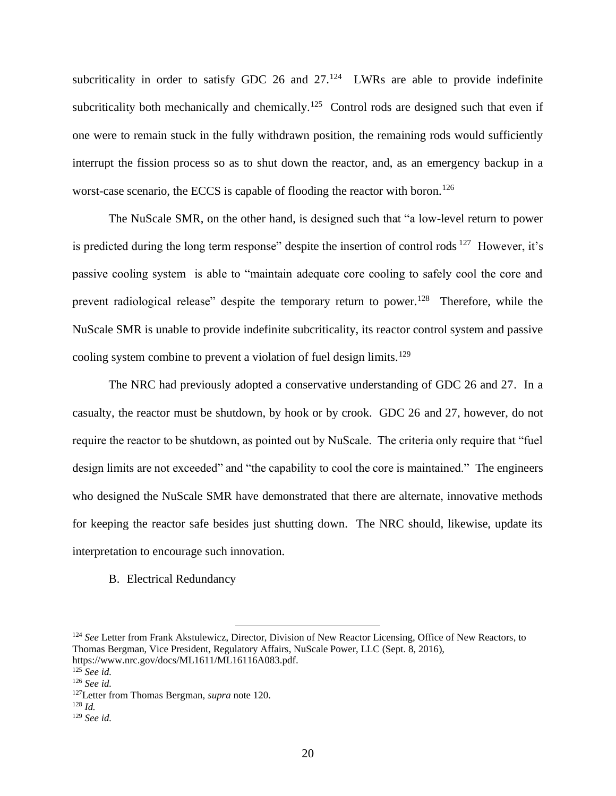subcriticality in order to satisfy GDC 26 and  $27.^{124}$  LWRs are able to provide indefinite subcriticality both mechanically and chemically.<sup>125</sup> Control rods are designed such that even if one were to remain stuck in the fully withdrawn position, the remaining rods would sufficiently interrupt the fission process so as to shut down the reactor, and, as an emergency backup in a worst-case scenario, the ECCS is capable of flooding the reactor with boron.<sup>126</sup>

The NuScale SMR, on the other hand, is designed such that "a low-level return to power is predicted during the long term response" despite the insertion of control rods  $127$  However, it's passive cooling system is able to "maintain adequate core cooling to safely cool the core and prevent radiological release" despite the temporary return to power.<sup>128</sup> Therefore, while the NuScale SMR is unable to provide indefinite subcriticality, its reactor control system and passive cooling system combine to prevent a violation of fuel design limits.<sup>129</sup>

The NRC had previously adopted a conservative understanding of GDC 26 and 27. In a casualty, the reactor must be shutdown, by hook or by crook. GDC 26 and 27, however, do not require the reactor to be shutdown, as pointed out by NuScale. The criteria only require that "fuel design limits are not exceeded" and "the capability to cool the core is maintained." The engineers who designed the NuScale SMR have demonstrated that there are alternate, innovative methods for keeping the reactor safe besides just shutting down. The NRC should, likewise, update its interpretation to encourage such innovation.

B. Electrical Redundancy

<sup>&</sup>lt;sup>124</sup> See Letter from Frank Akstulewicz, Director, Division of New Reactor Licensing, Office of New Reactors, to Thomas Bergman, Vice President, Regulatory Affairs, NuScale Power, LLC (Sept. 8, 2016), https://www.nrc.gov/docs/ML1611/ML16116A083.pdf.

<sup>125</sup> *See id.* 

<sup>126</sup> *See id.* 

<sup>127</sup>Letter from Thomas Bergman, *supra* note 120.

<sup>128</sup> *Id.* 

<sup>129</sup> *See id.*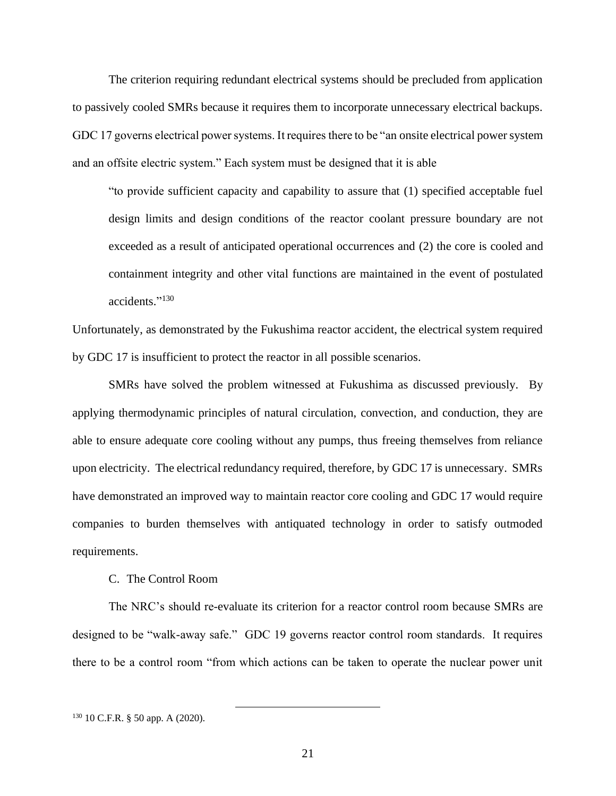The criterion requiring redundant electrical systems should be precluded from application to passively cooled SMRs because it requires them to incorporate unnecessary electrical backups. GDC 17 governs electrical power systems. It requires there to be "an onsite electrical power system and an offsite electric system." Each system must be designed that it is able

"to provide sufficient capacity and capability to assure that (1) specified acceptable fuel design limits and design conditions of the reactor coolant pressure boundary are not exceeded as a result of anticipated operational occurrences and (2) the core is cooled and containment integrity and other vital functions are maintained in the event of postulated accidents." 130

Unfortunately, as demonstrated by the Fukushima reactor accident, the electrical system required by GDC 17 is insufficient to protect the reactor in all possible scenarios.

SMRs have solved the problem witnessed at Fukushima as discussed previously. By applying thermodynamic principles of natural circulation, convection, and conduction, they are able to ensure adequate core cooling without any pumps, thus freeing themselves from reliance upon electricity. The electrical redundancy required, therefore, by GDC 17 is unnecessary. SMRs have demonstrated an improved way to maintain reactor core cooling and GDC 17 would require companies to burden themselves with antiquated technology in order to satisfy outmoded requirements.

#### C. The Control Room

The NRC's should re-evaluate its criterion for a reactor control room because SMRs are designed to be "walk-away safe." GDC 19 governs reactor control room standards. It requires there to be a control room "from which actions can be taken to operate the nuclear power unit

<sup>130</sup> 10 C.F.R. § 50 app. A (2020).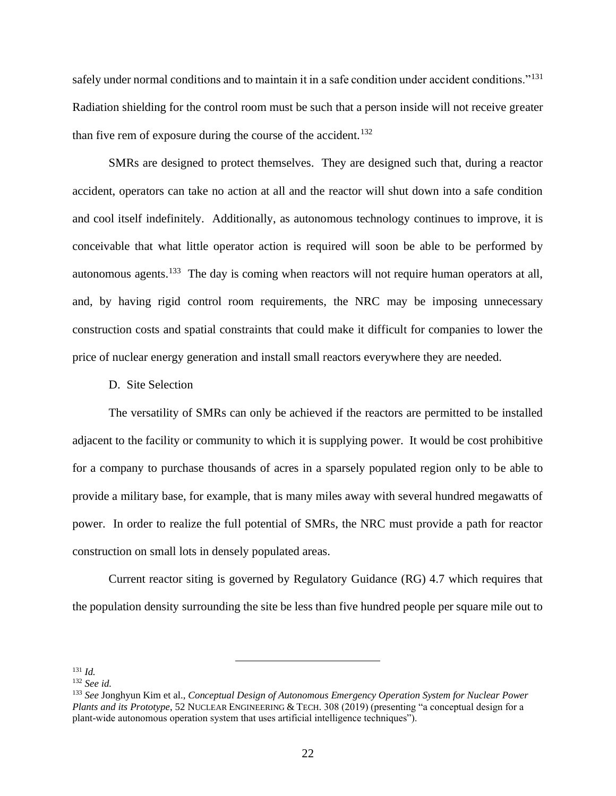safely under normal conditions and to maintain it in a safe condition under accident conditions."<sup>131</sup> Radiation shielding for the control room must be such that a person inside will not receive greater than five rem of exposure during the course of the accident.<sup>132</sup>

SMRs are designed to protect themselves. They are designed such that, during a reactor accident, operators can take no action at all and the reactor will shut down into a safe condition and cool itself indefinitely. Additionally, as autonomous technology continues to improve, it is conceivable that what little operator action is required will soon be able to be performed by autonomous agents.<sup>133</sup> The day is coming when reactors will not require human operators at all, and, by having rigid control room requirements, the NRC may be imposing unnecessary construction costs and spatial constraints that could make it difficult for companies to lower the price of nuclear energy generation and install small reactors everywhere they are needed.

### D. Site Selection

The versatility of SMRs can only be achieved if the reactors are permitted to be installed adjacent to the facility or community to which it is supplying power. It would be cost prohibitive for a company to purchase thousands of acres in a sparsely populated region only to be able to provide a military base, for example, that is many miles away with several hundred megawatts of power. In order to realize the full potential of SMRs, the NRC must provide a path for reactor construction on small lots in densely populated areas.

Current reactor siting is governed by Regulatory Guidance (RG) 4.7 which requires that the population density surrounding the site be less than five hundred people per square mile out to

 $131$  *Id.* 

<sup>132</sup> *See id.* 

<sup>133</sup> *See* Jonghyun Kim et al., *Conceptual Design of Autonomous Emergency Operation System for Nuclear Power Plants and its Prototype*, 52 NUCLEAR ENGINEERING & TECH. 308 (2019) (presenting "a conceptual design for a plant-wide autonomous operation system that uses artificial intelligence techniques").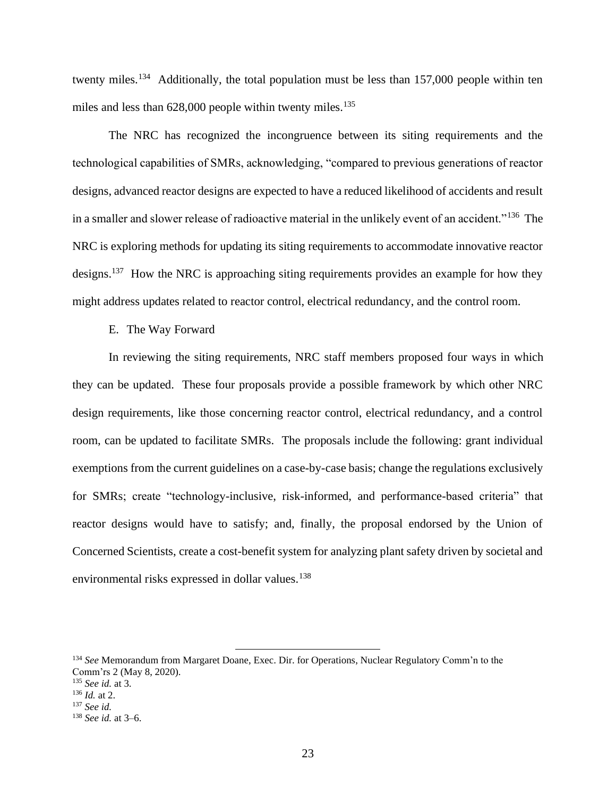twenty miles.<sup>134</sup> Additionally, the total population must be less than 157,000 people within ten miles and less than  $628,000$  people within twenty miles.<sup>135</sup>

The NRC has recognized the incongruence between its siting requirements and the technological capabilities of SMRs, acknowledging, "compared to previous generations of reactor designs, advanced reactor designs are expected to have a reduced likelihood of accidents and result in a smaller and slower release of radioactive material in the unlikely event of an accident."<sup>136</sup> The NRC is exploring methods for updating its siting requirements to accommodate innovative reactor designs.<sup>137</sup> How the NRC is approaching siting requirements provides an example for how they might address updates related to reactor control, electrical redundancy, and the control room.

E. The Way Forward

In reviewing the siting requirements, NRC staff members proposed four ways in which they can be updated. These four proposals provide a possible framework by which other NRC design requirements, like those concerning reactor control, electrical redundancy, and a control room, can be updated to facilitate SMRs. The proposals include the following: grant individual exemptions from the current guidelines on a case-by-case basis; change the regulations exclusively for SMRs; create "technology-inclusive, risk-informed, and performance-based criteria" that reactor designs would have to satisfy; and, finally, the proposal endorsed by the Union of Concerned Scientists, create a cost-benefit system for analyzing plant safety driven by societal and environmental risks expressed in dollar values.<sup>138</sup>

<sup>134</sup> *See* Memorandum from Margaret Doane, Exec. Dir. for Operations, Nuclear Regulatory Comm'n to the Comm'rs 2 (May 8, 2020). <sup>135</sup> *See id.* at 3.

<sup>136</sup> *Id.* at 2.

<sup>137</sup> *See id.*

<sup>138</sup> *See id.* at 3–6.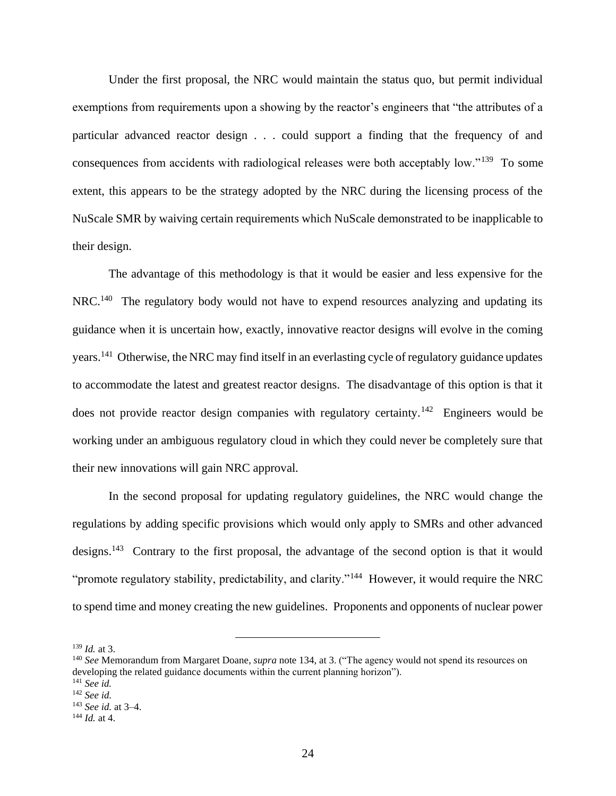Under the first proposal, the NRC would maintain the status quo, but permit individual exemptions from requirements upon a showing by the reactor's engineers that "the attributes of a particular advanced reactor design . . . could support a finding that the frequency of and consequences from accidents with radiological releases were both acceptably low."<sup>139</sup> To some extent, this appears to be the strategy adopted by the NRC during the licensing process of the NuScale SMR by waiving certain requirements which NuScale demonstrated to be inapplicable to their design.

The advantage of this methodology is that it would be easier and less expensive for the NRC.<sup>140</sup> The regulatory body would not have to expend resources analyzing and updating its guidance when it is uncertain how, exactly, innovative reactor designs will evolve in the coming years.<sup>141</sup> Otherwise, the NRC may find itself in an everlasting cycle of regulatory guidance updates to accommodate the latest and greatest reactor designs. The disadvantage of this option is that it does not provide reactor design companies with regulatory certainty.<sup>142</sup> Engineers would be working under an ambiguous regulatory cloud in which they could never be completely sure that their new innovations will gain NRC approval.

In the second proposal for updating regulatory guidelines, the NRC would change the regulations by adding specific provisions which would only apply to SMRs and other advanced designs.<sup>143</sup> Contrary to the first proposal, the advantage of the second option is that it would "promote regulatory stability, predictability, and clarity."<sup>144</sup> However, it would require the NRC to spend time and money creating the new guidelines. Proponents and opponents of nuclear power

<sup>139</sup> *Id.* at 3.

<sup>140</sup> *See* Memorandum from Margaret Doane, *supra* note 134, at 3. ("The agency would not spend its resources on developing the related guidance documents within the current planning horizon"). <sup>141</sup> *See id.* 

<sup>142</sup> *See id.*

<sup>143</sup> *See id.* at 3–4.

<sup>144</sup> *Id.* at 4.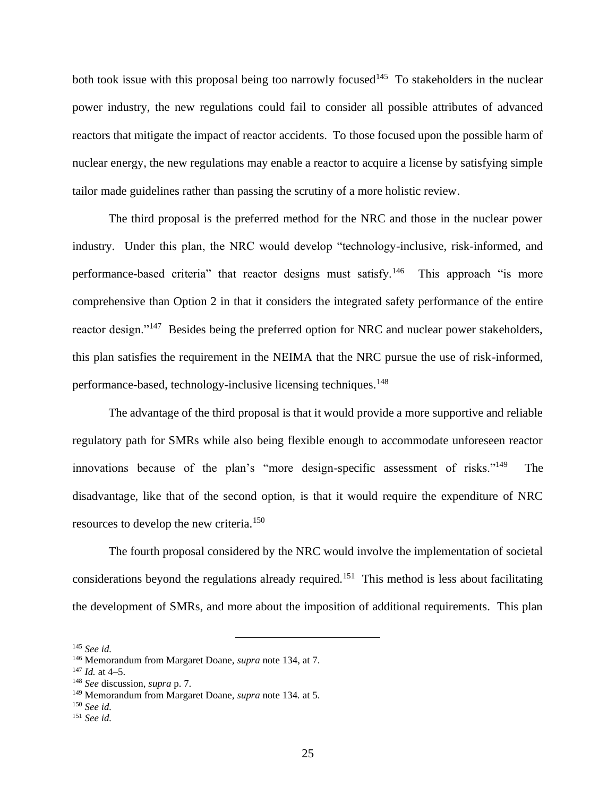both took issue with this proposal being too narrowly focused<sup>145</sup> To stakeholders in the nuclear power industry, the new regulations could fail to consider all possible attributes of advanced reactors that mitigate the impact of reactor accidents. To those focused upon the possible harm of nuclear energy, the new regulations may enable a reactor to acquire a license by satisfying simple tailor made guidelines rather than passing the scrutiny of a more holistic review.

The third proposal is the preferred method for the NRC and those in the nuclear power industry. Under this plan, the NRC would develop "technology-inclusive, risk-informed, and performance-based criteria" that reactor designs must satisfy.<sup>146</sup> This approach "is more comprehensive than Option 2 in that it considers the integrated safety performance of the entire reactor design."<sup>147</sup> Besides being the preferred option for NRC and nuclear power stakeholders, this plan satisfies the requirement in the NEIMA that the NRC pursue the use of risk-informed, performance-based, technology-inclusive licensing techniques. 148

The advantage of the third proposal is that it would provide a more supportive and reliable regulatory path for SMRs while also being flexible enough to accommodate unforeseen reactor innovations because of the plan's "more design-specific assessment of risks."<sup>149</sup> The disadvantage, like that of the second option, is that it would require the expenditure of NRC resources to develop the new criteria.<sup>150</sup>

The fourth proposal considered by the NRC would involve the implementation of societal considerations beyond the regulations already required.<sup>151</sup> This method is less about facilitating the development of SMRs, and more about the imposition of additional requirements. This plan

<sup>145</sup> *See id.*

<sup>146</sup> Memorandum from Margaret Doane, *supra* note 134, at 7.

<sup>147</sup> *Id.* at 4–5.

<sup>148</sup> *See* discussion, *supra* p. 7.

<sup>149</sup> Memorandum from Margaret Doane, *supra* note 134*.* at 5.

<sup>150</sup> *See id.* 

<sup>151</sup> *See id.*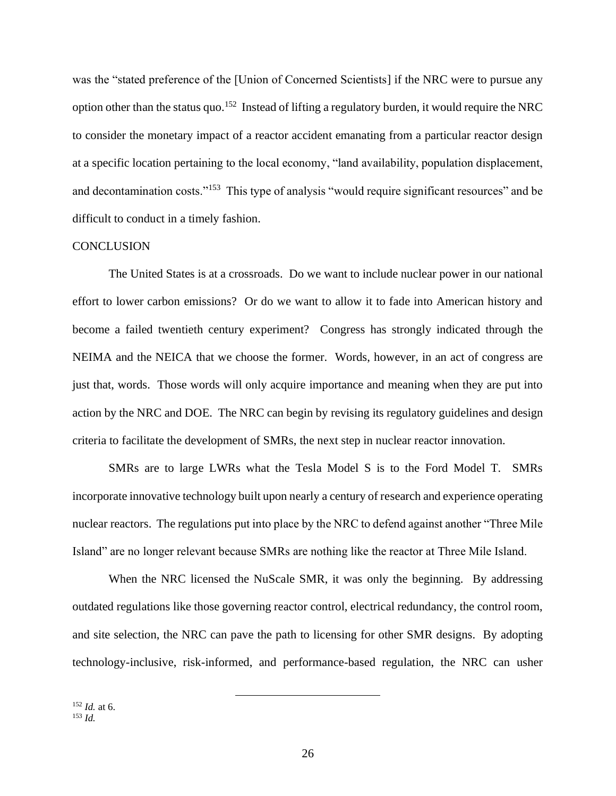was the "stated preference of the [Union of Concerned Scientists] if the NRC were to pursue any option other than the status quo.<sup>152</sup> Instead of lifting a regulatory burden, it would require the NRC to consider the monetary impact of a reactor accident emanating from a particular reactor design at a specific location pertaining to the local economy, "land availability, population displacement, and decontamination costs."<sup>153</sup> This type of analysis "would require significant resources" and be difficult to conduct in a timely fashion.

#### **CONCLUSION**

The United States is at a crossroads. Do we want to include nuclear power in our national effort to lower carbon emissions? Or do we want to allow it to fade into American history and become a failed twentieth century experiment? Congress has strongly indicated through the NEIMA and the NEICA that we choose the former. Words, however, in an act of congress are just that, words. Those words will only acquire importance and meaning when they are put into action by the NRC and DOE. The NRC can begin by revising its regulatory guidelines and design criteria to facilitate the development of SMRs, the next step in nuclear reactor innovation.

SMRs are to large LWRs what the Tesla Model S is to the Ford Model T. SMRs incorporate innovative technology built upon nearly a century of research and experience operating nuclear reactors. The regulations put into place by the NRC to defend against another "Three Mile Island" are no longer relevant because SMRs are nothing like the reactor at Three Mile Island.

When the NRC licensed the NuScale SMR, it was only the beginning. By addressing outdated regulations like those governing reactor control, electrical redundancy, the control room, and site selection, the NRC can pave the path to licensing for other SMR designs. By adopting technology-inclusive, risk-informed, and performance-based regulation, the NRC can usher

<sup>152</sup> *Id.* at 6.  $153$  *Id.*